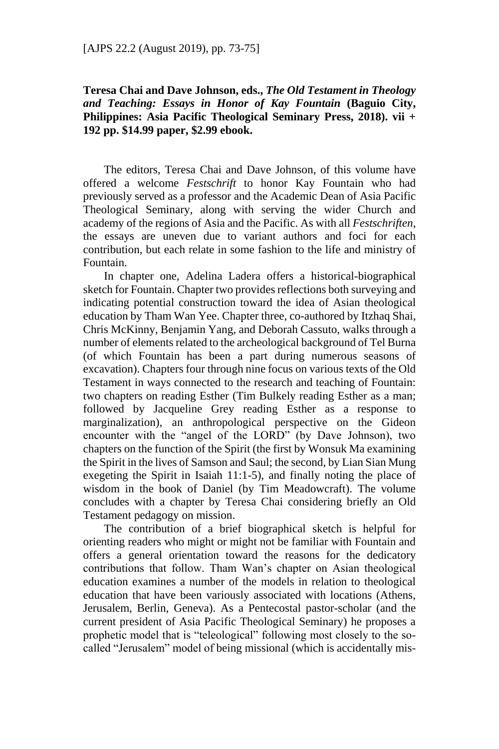## **Teresa Chai and Dave Johnson, eds.,** *The Old Testament in Theology and Teaching: Essays in Honor of Kay Fountain* **(Baguio City, Philippines: Asia Pacific Theological Seminary Press, 2018). vii + 192 pp. \$14.99 paper, \$2.99 ebook.**

The editors, Teresa Chai and Dave Johnson, of this volume have offered a welcome *Festschrift* to honor Kay Fountain who had previously served as a professor and the Academic Dean of Asia Pacific Theological Seminary, along with serving the wider Church and academy of the regions of Asia and the Pacific. As with all *Festschriften*, the essays are uneven due to variant authors and foci for each contribution, but each relate in some fashion to the life and ministry of Fountain.

In chapter one, Adelina Ladera offers a historical-biographical sketch for Fountain. Chapter two provides reflections both surveying and indicating potential construction toward the idea of Asian theological education by Tham Wan Yee. Chapter three, co-authored by Itzhaq Shai, Chris McKinny, Benjamin Yang, and Deborah Cassuto, walks through a number of elements related to the archeological background of Tel Burna (of which Fountain has been a part during numerous seasons of excavation). Chapters four through nine focus on various texts of the Old Testament in ways connected to the research and teaching of Fountain: two chapters on reading Esther (Tim Bulkely reading Esther as a man; followed by Jacqueline Grey reading Esther as a response to marginalization), an anthropological perspective on the Gideon encounter with the "angel of the LORD" (by Dave Johnson), two chapters on the function of the Spirit (the first by Wonsuk Ma examining the Spirit in the lives of Samson and Saul; the second, by Lian Sian Mung exegeting the Spirit in Isaiah 11:1-5), and finally noting the place of wisdom in the book of Daniel (by Tim Meadowcraft). The volume concludes with a chapter by Teresa Chai considering briefly an Old Testament pedagogy on mission.

The contribution of a brief biographical sketch is helpful for orienting readers who might or might not be familiar with Fountain and offers a general orientation toward the reasons for the dedicatory contributions that follow. Tham Wan's chapter on Asian theological education examines a number of the models in relation to theological education that have been variously associated with locations (Athens, Jerusalem, Berlin, Geneva). As a Pentecostal pastor-scholar (and the current president of Asia Pacific Theological Seminary) he proposes a prophetic model that is "teleological" following most closely to the socalled "Jerusalem" model of being missional (which is accidentally mis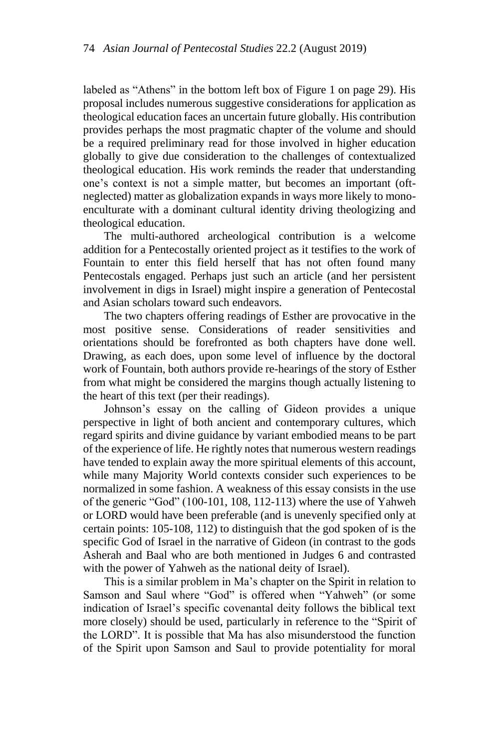labeled as "Athens" in the bottom left box of Figure 1 on page 29). His proposal includes numerous suggestive considerations for application as theological education faces an uncertain future globally. His contribution provides perhaps the most pragmatic chapter of the volume and should be a required preliminary read for those involved in higher education globally to give due consideration to the challenges of contextualized theological education. His work reminds the reader that understanding one's context is not a simple matter, but becomes an important (oftneglected) matter as globalization expands in ways more likely to monoenculturate with a dominant cultural identity driving theologizing and theological education.

The multi-authored archeological contribution is a welcome addition for a Pentecostally oriented project as it testifies to the work of Fountain to enter this field herself that has not often found many Pentecostals engaged. Perhaps just such an article (and her persistent involvement in digs in Israel) might inspire a generation of Pentecostal and Asian scholars toward such endeavors.

The two chapters offering readings of Esther are provocative in the most positive sense. Considerations of reader sensitivities and orientations should be forefronted as both chapters have done well. Drawing, as each does, upon some level of influence by the doctoral work of Fountain, both authors provide re-hearings of the story of Esther from what might be considered the margins though actually listening to the heart of this text (per their readings).

Johnson's essay on the calling of Gideon provides a unique perspective in light of both ancient and contemporary cultures, which regard spirits and divine guidance by variant embodied means to be part of the experience of life. He rightly notes that numerous western readings have tended to explain away the more spiritual elements of this account, while many Majority World contexts consider such experiences to be normalized in some fashion. A weakness of this essay consists in the use of the generic "God" (100-101, 108, 112-113) where the use of Yahweh or LORD would have been preferable (and is unevenly specified only at certain points: 105-108, 112) to distinguish that the god spoken of is the specific God of Israel in the narrative of Gideon (in contrast to the gods Asherah and Baal who are both mentioned in Judges 6 and contrasted with the power of Yahweh as the national deity of Israel).

This is a similar problem in Ma's chapter on the Spirit in relation to Samson and Saul where "God" is offered when "Yahweh" (or some indication of Israel's specific covenantal deity follows the biblical text more closely) should be used, particularly in reference to the "Spirit of the LORD". It is possible that Ma has also misunderstood the function of the Spirit upon Samson and Saul to provide potentiality for moral